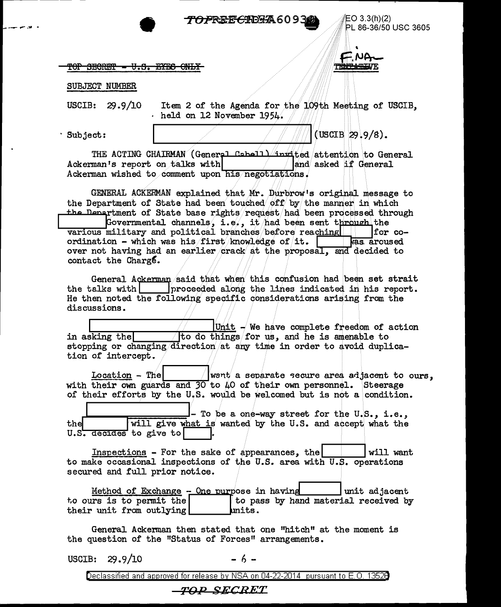## *TOPREECIERA*6093

EO 3.3(h)(2) PL 86-36/50 USC 3605

### TOP SECRET - V.S. EYES ONLY

#### SUBJECT NUMBER

USCIB: 29.9/10 Item 2 of the Agenda for the 109th Meeting of USCIB, held on 12 November 1954.

Subject:

 $(USCIB 29.9/8)$ .

TRNING IN

THE ACTING CHAIRMAN (General Cabell) invited attention to General Ackerman's report on talks with and asked if General Ackerman wished to comment upon his negotiations.

GENERAL ACKERMAN explained that Mr. Durbrow's original message to the Department of State had been touched off by the manner in which the Department of State base rights/request/had been processed through Governmental channels, i.e., it had been sent through the various military and political branches before reaching  $|for co$ ordination - which was his first knowledge of it. was aroused over not having had an earlier crack at the proposal, and decided to contact the Charge.

General Ackerman said that when this confusion had been set strait the talks with subspaced the intervals in the talks with subspaced along the lines indicated in his report. He then noted the following specific considerations arising from the discussions.

Unit - We have complete freedom of action in asking the to do things for us, and he is amenable to stopping or changing direction at any time in order to avoid duplication of intercept.

 $Location - The$ want a separate secure area adjacent to ours. with their own guards and  $30$  to  $40$  of their own personnel. Steerage of their efforts by the U.S. would be welcomed but is not a condition.

- To be a one-way street for the U.S., i.e., will give what is wanted by the U.S. and accept what the the U.S. decides to give to

Inspections  $-$  For the sake of appearances, the will want to make occasional inspections of the U.S. area with U.S. operations secured and full prior notice.

Method of Exchange - One purpose in having unit adjacent to ours is to permit the to pass by hand material received by their unit from outlying units.

General Ackerman then stated that one "hitch" at the moment is the question of the "Status of Forces" arrangements.

USCIB: 29.9/10 - 6 -

Declassified and approved for release by NSA on 04-22-2014 pursuant to E.O. 13528

## *TOP SECRET*